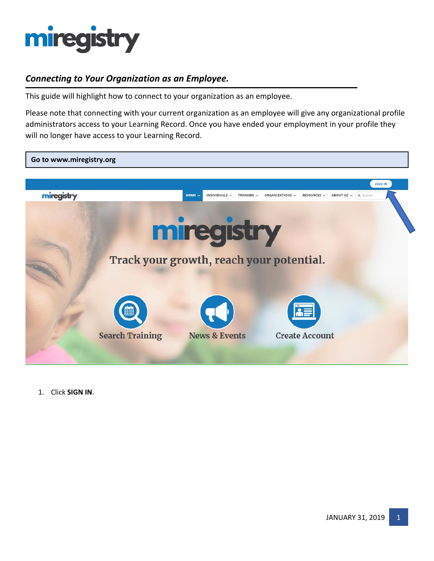

### *Connecting to Your Organization as an Employee.*

This guide will highlight how to connect to your organization as an employee.

Please note that connecting with your current organization as an employee will give any organizational profile administrators access to your Learning Record. Once you have ended your employment in your profile they will no longer have access to your Learning Record.



1. Click **SIGN IN**.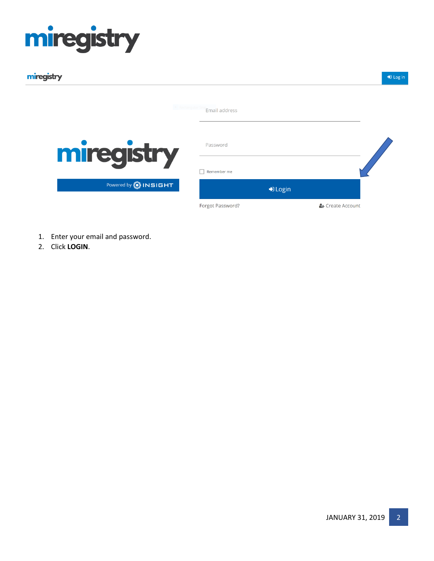| miregistry                    |                   |                           | $\bigtriangledown$ Log |
|-------------------------------|-------------------|---------------------------|------------------------|
|                               | Email address     |                           |                        |
| miregistry                    | Password          |                           |                        |
|                               | Remember me<br>н. |                           |                        |
| Powered by <b>(C) INSIGHT</b> |                   | $\nightharpoonup$ D Login |                        |
|                               | Forgot Password?  |                           | & Create Account       |

- 1. Enter your email and password.
- 2. Click **LOGIN**.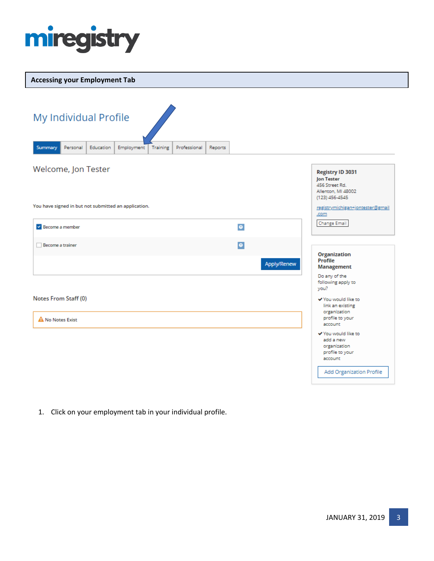

#### **Accessing your Employment Tab**

| My Individual Profile                                |           |            |          |              |         |             |                                                                                                            |
|------------------------------------------------------|-----------|------------|----------|--------------|---------|-------------|------------------------------------------------------------------------------------------------------------|
| Summary<br>Personal                                  | Education | Employment | Training | Professional | Reports |             |                                                                                                            |
| Welcome, Jon Tester                                  |           |            |          |              |         |             | Registry ID 3031<br><b>Jon Tester</b><br>456 Street Rd.<br>Allenton, MI 48002<br>(123) 456-4545            |
| You have signed in but not submitted an application. |           |            |          |              |         |             | registrymichigan+jontester@gmail<br>.com                                                                   |
| Become a member                                      |           |            |          |              |         | $\bullet$   | <b>Change Email</b>                                                                                        |
| Become a trainer                                     |           |            |          |              |         | $\bullet$   | <b>Organization</b>                                                                                        |
|                                                      |           |            |          |              |         | Apply/Renew | Profile<br>Management                                                                                      |
|                                                      |           |            |          |              |         |             | Do any of the<br>following apply to<br>you?                                                                |
| Notes From Staff (0)                                 |           |            |          |              |         |             | ✔ You would like to<br>link an existing                                                                    |
| A No Notes Exist                                     |           |            |          |              |         |             | organization<br>profile to your<br>account                                                                 |
|                                                      |           |            |          |              |         |             | ✔ You would like to<br>add a new<br>organization<br>profile to your<br>account<br>Add Organization Profile |

1. Click on your employment tab in your individual profile.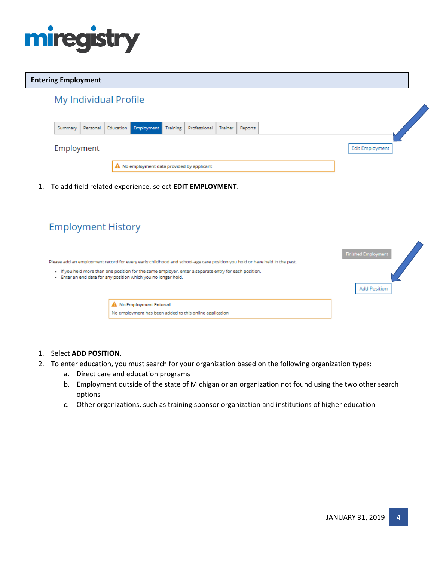

#### **Entering Employment**

| Summary | Personal   | Education Employment Training | Professional   Trainer | Reports |
|---------|------------|-------------------------------|------------------------|---------|
|         | Employment |                               |                        |         |

1. To add field related experience, select **EDIT EMPLOYMENT**.

| <b>Employment History</b> |                                                                                                                                                                                                                                                                                                      |                                                   |
|---------------------------|------------------------------------------------------------------------------------------------------------------------------------------------------------------------------------------------------------------------------------------------------------------------------------------------------|---------------------------------------------------|
|                           | Please add an employment record for every early childhood and school-age care position you hold or have held in the past.<br>. If you held more than one position for the same employer, enter a separate entry for each position.<br>. Enter an end date for any position which you no longer hold. | <b>Finished Employment</b><br><b>Add Position</b> |
|                           | A No Employment Entered<br>No employment has been added to this online application                                                                                                                                                                                                                   |                                                   |

#### 1. Select **ADD POSITION**.

- 2. To enter education, you must search for your organization based on the following organization types:
	- a. Direct care and education programs
	- b. Employment outside of the state of Michigan or an organization not found using the two other search options
	- c. Other organizations, such as training sponsor organization and institutions of higher education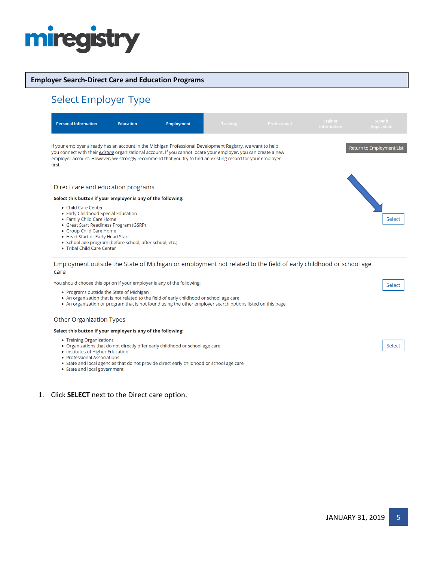#### **Employer Search-Direct Care and Education Programs**

### Select Employer Type

| <b>Personal Information</b>                                                                                                                                                                                                                                                               | <b>Education</b> | Employment                                                                                                                                                                                                                                                                                                                                   | <b>Training</b> | Professional | <b>Trainer</b><br><b>Information</b> | <b>Submit</b><br><b>Application</b> |
|-------------------------------------------------------------------------------------------------------------------------------------------------------------------------------------------------------------------------------------------------------------------------------------------|------------------|----------------------------------------------------------------------------------------------------------------------------------------------------------------------------------------------------------------------------------------------------------------------------------------------------------------------------------------------|-----------------|--------------|--------------------------------------|-------------------------------------|
| first.                                                                                                                                                                                                                                                                                    |                  | If your employer already has an account in the Michigan Professional Development Registry, we want to help<br>you connect with their existing organizational account. If you cannot locate your employer, you can create a new<br>employer account. However, we strongly recommend that you try to find an existing record for your employer |                 |              |                                      | <b>Return to Employment List</b>    |
| Direct care and education programs                                                                                                                                                                                                                                                        |                  |                                                                                                                                                                                                                                                                                                                                              |                 |              |                                      |                                     |
| Select this button if your employer is any of the following:                                                                                                                                                                                                                              |                  |                                                                                                                                                                                                                                                                                                                                              |                 |              |                                      |                                     |
| • Child Care Center<br>• Early Childhood Special Education<br>• Family Child Care Home<br>• Great Start Readiness Program (GSRP)<br>• Group Child Care Home<br>• Head Start or Early Head Start<br>• School age program (before school, after school, etc.)<br>• Tribal Child Care Center |                  |                                                                                                                                                                                                                                                                                                                                              |                 |              |                                      | Select                              |
| care                                                                                                                                                                                                                                                                                      |                  | Employment outside the State of Michigan or employment not related to the field of early childhood or school age                                                                                                                                                                                                                             |                 |              |                                      |                                     |
| You should choose this option if your employer is any of the following:                                                                                                                                                                                                                   |                  |                                                                                                                                                                                                                                                                                                                                              |                 |              |                                      | Select                              |
| • Programs outside the State of Michigan                                                                                                                                                                                                                                                  |                  | . An organization that is not related to the field of early childhood or school age care<br>• An organization or program that is not found using the other employer search options listed on this page                                                                                                                                       |                 |              |                                      |                                     |
| <b>Other Organization Types</b>                                                                                                                                                                                                                                                           |                  |                                                                                                                                                                                                                                                                                                                                              |                 |              |                                      |                                     |

#### Select this button if your employer is any of the following:

- Training Organizations
- Organizations that do not directly offer early childhood or school age care
- Institutes of Higher Education
- Professional Associations
- Professional Associations<br>• State and local agencies that do not provide direct early childhood or school age care<br>• State and local government
- 

#### 1. Click **SELECT** next to the Direct care option.

Select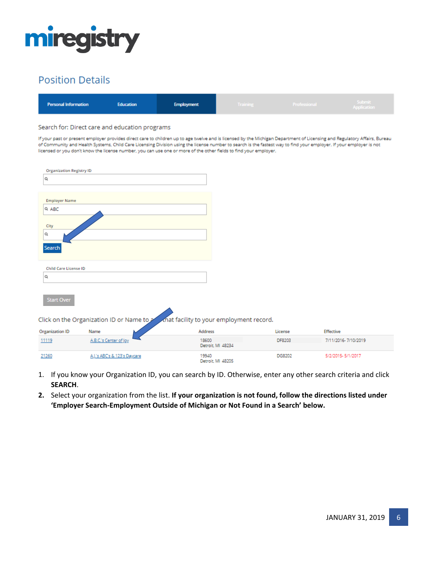

| <b>Personal Information</b><br><b>Education</b><br><b>Employment</b> | <b>Training</b> | Professional | Submit<br>Application |
|----------------------------------------------------------------------|-----------------|--------------|-----------------------|
|----------------------------------------------------------------------|-----------------|--------------|-----------------------|

#### Search for: Direct care and education programs

If your past or present employer provides direct care to children up to age twelve and is licensed by the Michigan Department of Licensing and Regulatory Affairs, Bureau of Community and Health Systems, Child Care Licensing Division using the license number to search is the fastest way to find your employer. If your employer is not licensed or you don't know the license number, you can use one or more of the other fields to find your employer.

| <b>Organization Registry ID</b> |                                           |                                         |         |                     |  |
|---------------------------------|-------------------------------------------|-----------------------------------------|---------|---------------------|--|
| Q                               |                                           |                                         |         |                     |  |
|                                 |                                           |                                         |         |                     |  |
| <b>Employer Name</b>            |                                           |                                         |         |                     |  |
| Q ABC                           |                                           |                                         |         |                     |  |
|                                 |                                           |                                         |         |                     |  |
| City                            |                                           |                                         |         |                     |  |
| Q                               |                                           |                                         |         |                     |  |
| Search                          |                                           |                                         |         |                     |  |
|                                 |                                           |                                         |         |                     |  |
| <b>Child Care License ID</b>    |                                           |                                         |         |                     |  |
| Q                               |                                           |                                         |         |                     |  |
|                                 |                                           |                                         |         |                     |  |
|                                 |                                           |                                         |         |                     |  |
| Start Over                      |                                           |                                         |         |                     |  |
|                                 |                                           |                                         |         |                     |  |
|                                 | Click on the Organization ID or Name to 2 | mat facility to your employment record. |         |                     |  |
| <b>Organization ID</b>          | Name                                      | Address                                 | License | Effective           |  |
| 11119                           | A.B.C.'s Center of Joy                    | 18600<br>Detroit, MI 48234              | DF8203  | 7/11/2016-7/10/2019 |  |
| 21260                           | A.J.'s ABC's & 123's Daycare              | 19940<br>Detroit, MI 48205              | DG8202  | 5/2/2015-5/1/2017   |  |

- 1. If you know your Organization ID, you can search by ID. Otherwise, enter any other search criteria and click **SEARCH**.
- **2.** Select your organization from the list. **If your organization is not found, follow the directions listed under 'Employer Search-Employment Outside of Michigan or Not Found in a Search' below.**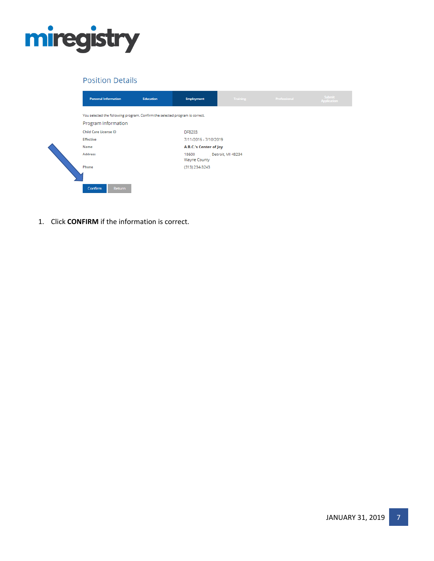

| <b>Personal Information</b>                                                                         | Education | <b>Employment</b>            | <b>Training</b>       | Professional | Submit<br><b>Application</b> |  |  |  |
|-----------------------------------------------------------------------------------------------------|-----------|------------------------------|-----------------------|--------------|------------------------------|--|--|--|
| You selected the following program. Confirm the selected program is correct.<br>Program Information |           |                              |                       |              |                              |  |  |  |
| <b>Child Care License ID</b>                                                                        |           | DF8203.                      |                       |              |                              |  |  |  |
| <b>Effective</b>                                                                                    |           |                              | 7/11/2016 - 7/10/2019 |              |                              |  |  |  |
| Name                                                                                                |           | A.B.C.'s Center of Joy       |                       |              |                              |  |  |  |
| Address                                                                                             |           | 18600<br><b>Wayne County</b> | Detroit, MI 48234     |              |                              |  |  |  |
| Phone                                                                                               |           | (313) 234-3243               |                       |              |                              |  |  |  |
| Confirm<br>Return                                                                                   |           |                              |                       |              |                              |  |  |  |

1. Click **CONFIRM** if the information is correct.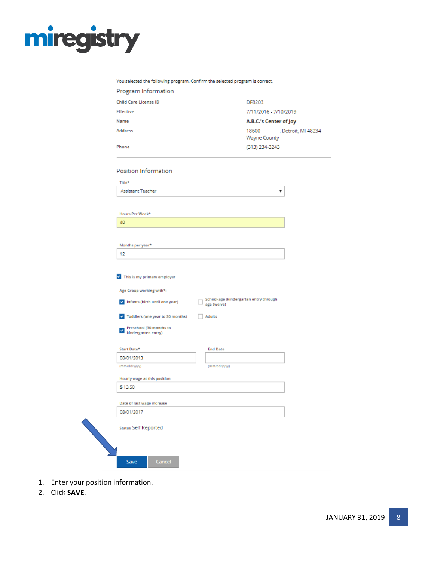

#### You selected the following program. Confirm the selected program is correct.

| Program Information                                                     |                                                       |                        |                     |
|-------------------------------------------------------------------------|-------------------------------------------------------|------------------------|---------------------|
| <b>Child Care License ID</b>                                            |                                                       | DF8203                 |                     |
| <b>Effective</b>                                                        |                                                       | 7/11/2016 - 7/10/2019  |                     |
| Name                                                                    |                                                       | A.B.C.'s Center of Joy |                     |
| Address                                                                 |                                                       | 18600<br>Wayne County  | , Detroit, MI 48234 |
| Phone                                                                   |                                                       | (313) 234-3243         |                     |
| Position Information                                                    |                                                       |                        |                     |
| Title*                                                                  |                                                       |                        |                     |
| <b>Assistant Teacher</b>                                                |                                                       | ۷                      |                     |
|                                                                         |                                                       |                        |                     |
| Hours Per Week*                                                         |                                                       |                        |                     |
| 40                                                                      |                                                       |                        |                     |
|                                                                         |                                                       |                        |                     |
| Months per year*                                                        |                                                       |                        |                     |
| 12                                                                      |                                                       |                        |                     |
| This is my primary employer                                             |                                                       |                        |                     |
| Age Group working with*:                                                |                                                       |                        |                     |
| Infants (birth until one year)                                          | School-age (kindergarten entry through<br>age twelve) |                        |                     |
| Toddlers (one year to 30 months)<br>$\checkmark$                        | <b>Adults</b>                                         |                        |                     |
| Preschool (30 months to<br>$\overline{\phantom{a}}$ kindergarten entry) |                                                       |                        |                     |
| Start Date*                                                             | <b>End Date</b>                                       |                        |                     |
| 08/01/2013                                                              |                                                       |                        |                     |
| (mm/dd/yyyy)                                                            | (mm/dd/yyyy)                                          |                        |                     |
| Hourly wage at this position                                            |                                                       |                        |                     |
| \$13.50                                                                 |                                                       |                        |                     |
| Date of last wage increase                                              |                                                       |                        |                     |
| 08/01/2017                                                              |                                                       |                        |                     |
| Status Self Reported                                                    |                                                       |                        |                     |
| Cancel<br>Save                                                          |                                                       |                        |                     |

- 1. Enter your position information.
- 2. Click **SAVE**.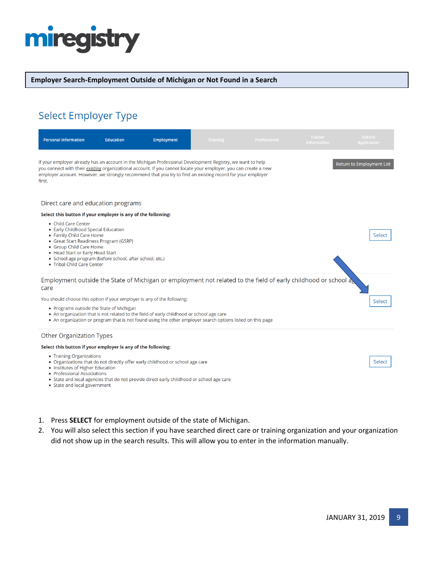#### **Employer Search-Employment Outside of Michigan or Not Found in a Search**

### Select Employer Type

| <b>Personal Information</b>                                                                                                                                                                                                                                                                                                                                                                | <b>Education</b> | <b>Employment</b>                                                                                                                                                                                      | <b>Training</b> | Professional | <b>Trainer</b><br><b>Information</b> | <b>Submit</b><br><b>Application</b> |  |  |
|--------------------------------------------------------------------------------------------------------------------------------------------------------------------------------------------------------------------------------------------------------------------------------------------------------------------------------------------------------------------------------------------|------------------|--------------------------------------------------------------------------------------------------------------------------------------------------------------------------------------------------------|-----------------|--------------|--------------------------------------|-------------------------------------|--|--|
| If your employer already has an account in the Michigan Professional Development Registry, we want to help<br><b>Return to Employment List</b><br>you connect with their existing organizational account. If you cannot locate your employer, you can create a new<br>employer account. However, we strongly recommend that you try to find an existing record for your employer<br>first. |                  |                                                                                                                                                                                                        |                 |              |                                      |                                     |  |  |
| Direct care and education programs                                                                                                                                                                                                                                                                                                                                                         |                  |                                                                                                                                                                                                        |                 |              |                                      |                                     |  |  |
| Select this button if your employer is any of the following:                                                                                                                                                                                                                                                                                                                               |                  |                                                                                                                                                                                                        |                 |              |                                      |                                     |  |  |
| • Child Care Center<br>• Early Childhood Special Education<br>• Family Child Care Home<br>• Great Start Readiness Program (GSRP)<br>• Group Child Care Home<br>• Head Start or Early Head Start<br>• School age program (before school, after school, etc.)<br>• Tribal Child Care Center                                                                                                  |                  |                                                                                                                                                                                                        |                 |              |                                      | Select                              |  |  |
| Employment outside the State of Michigan or employment not related to the field of early childhood or school a<br>care                                                                                                                                                                                                                                                                     |                  |                                                                                                                                                                                                        |                 |              |                                      |                                     |  |  |
| You should choose this option if your employer is any of the following:                                                                                                                                                                                                                                                                                                                    |                  |                                                                                                                                                                                                        |                 |              |                                      | Select                              |  |  |
| • Programs outside the State of Michigan                                                                                                                                                                                                                                                                                                                                                   |                  | • An organization that is not related to the field of early childhood or school age care<br>• An organization or program that is not found using the other employer search options listed on this page |                 |              |                                      |                                     |  |  |
| Other Organization Types                                                                                                                                                                                                                                                                                                                                                                   |                  |                                                                                                                                                                                                        |                 |              |                                      |                                     |  |  |
| Select this button if your employer is any of the following:                                                                                                                                                                                                                                                                                                                               |                  |                                                                                                                                                                                                        |                 |              |                                      |                                     |  |  |
| • Training Organizations<br>• Institutes of Higher Education<br>• Professional Associations<br>• State and local government                                                                                                                                                                                                                                                                |                  | • Organizations that do not directly offer early childhood or school age care<br>• State and local agencies that do not provide direct early childhood or school age care                              |                 |              |                                      | Select                              |  |  |

- 1. Press **SELECT** for employment outside of the state of Michigan.
- 2. You will also select this section if you have searched direct care or training organization and your organization did not show up in the search results. This will allow you to enter in the information manually.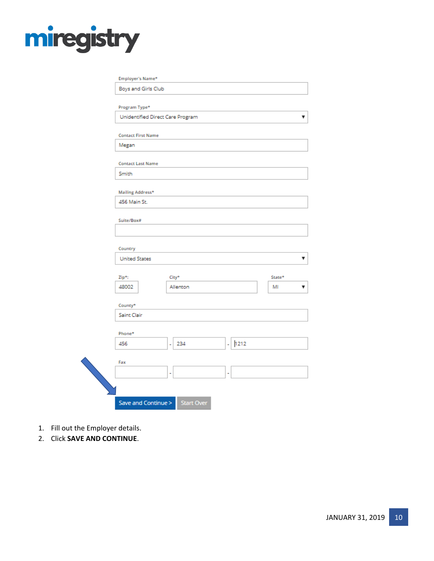| Program Type*                    |                       |           |        |
|----------------------------------|-----------------------|-----------|--------|
| Unidentified Direct Care Program |                       |           |        |
| <b>Contact First Name</b>        |                       |           |        |
| Megan                            |                       |           |        |
| <b>Contact Last Name</b>         |                       |           |        |
| Smith                            |                       |           |        |
| Mailing Address*                 |                       |           |        |
| 456 Main St.                     |                       |           |        |
| Suite/Box#                       |                       |           |        |
|                                  |                       |           |        |
| Country                          |                       |           |        |
| <b>United States</b>             |                       |           |        |
| Zip*:                            | City*                 |           | State* |
| 48002                            | Allenton              |           | MI     |
| County*                          |                       |           |        |
| Saint Clair                      |                       |           |        |
| Phone*                           |                       |           |        |
| 456                              | 234<br>$\overline{a}$ | 1212<br>٠ |        |
| Fax                              |                       |           |        |
|                                  |                       |           |        |

- 1. Fill out the Employer details.
- 2. Click **SAVE AND CONTINUE**.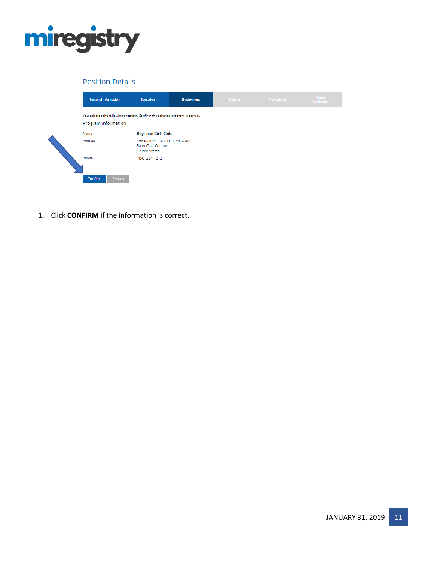

| <b>Personal Information</b>                                                                         | Education                                                                     | <b>Employment</b> | <b>Training</b> | Professional | <b>Submit</b><br><b>Application</b> |
|-----------------------------------------------------------------------------------------------------|-------------------------------------------------------------------------------|-------------------|-----------------|--------------|-------------------------------------|
| You selected the following program. Confirm the selected program is correct.<br>Program Information |                                                                               |                   |                 |              |                                     |
| Name                                                                                                | <b>Boys and Girls Club</b>                                                    |                   |                 |              |                                     |
| <b>Address</b>                                                                                      | 456 Main St., Allenton, MI48002<br>Saint Clair County<br><b>United States</b> |                   |                 |              |                                     |
| Phone                                                                                               | (456) 234-1212                                                                |                   |                 |              |                                     |
| Confirm<br>Return                                                                                   |                                                                               |                   |                 |              |                                     |

1. Click **CONFIRM** if the information is correct.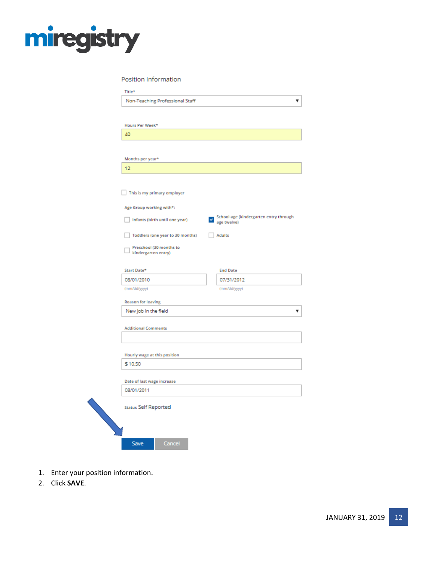

Position Information

| Hours Per Week*                                |                                                        |
|------------------------------------------------|--------------------------------------------------------|
| 40                                             |                                                        |
|                                                |                                                        |
| Months per year*                               |                                                        |
| 12                                             |                                                        |
|                                                |                                                        |
| This is my primary employer                    |                                                        |
| Age Group working with*:                       |                                                        |
| Infants (birth until one year)                 | School-age (kindergarten entry through<br>$\checkmark$ |
|                                                | age twelve)                                            |
| Toddlers (one year to 30 months)               | <b>Adults</b>                                          |
| Preschool (30 months to<br>kindergarten entry) |                                                        |
|                                                |                                                        |
| Start Date*                                    | <b>End Date</b>                                        |
| 08/01/2010                                     | 07/31/2012                                             |
| (mm/dd/yyyy)                                   | (mm/dd/yyyy)                                           |
| <b>Reason for leaving</b>                      |                                                        |
| New job in the field                           |                                                        |
| <b>Additional Comments</b>                     |                                                        |
|                                                |                                                        |
|                                                |                                                        |
| Hourly wage at this position<br>\$10.50        |                                                        |
|                                                |                                                        |
| Date of last wage increase                     |                                                        |
| 08/01/2011                                     |                                                        |
| Status Self Reported                           |                                                        |
|                                                |                                                        |
|                                                |                                                        |

- 1. Enter your position information.
- 2. Click **SAVE**.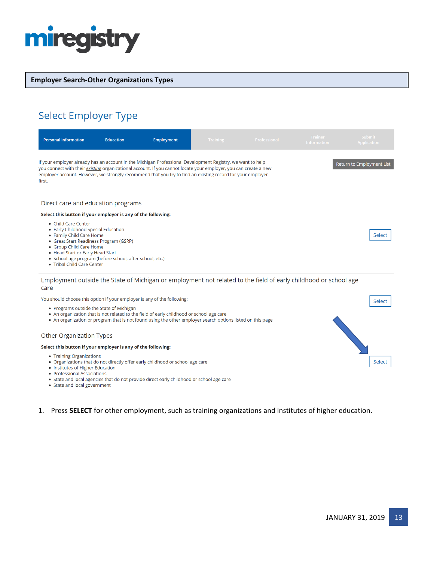

#### **Employer Search-Other Organizations Types**

## Select Employer Type

| <b>Personal Information</b>                                                                                                                                                                                                                                                                                                                                                         | <b>Education</b> | Employment                                                                                                                                                                                             | <b>Training</b> | Professional                                                                                                     | <b>Trainer</b><br><b>Information</b> | <b>Submit</b><br><b>Application</b> |  |
|-------------------------------------------------------------------------------------------------------------------------------------------------------------------------------------------------------------------------------------------------------------------------------------------------------------------------------------------------------------------------------------|------------------|--------------------------------------------------------------------------------------------------------------------------------------------------------------------------------------------------------|-----------------|------------------------------------------------------------------------------------------------------------------|--------------------------------------|-------------------------------------|--|
| If your employer already has an account in the Michigan Professional Development Registry, we want to help<br>Return to Employment List<br>you connect with their existing organizational account. If you cannot locate your employer, you can create a new<br>employer account. However, we strongly recommend that you try to find an existing record for your employer<br>first. |                  |                                                                                                                                                                                                        |                 |                                                                                                                  |                                      |                                     |  |
| Direct care and education programs                                                                                                                                                                                                                                                                                                                                                  |                  |                                                                                                                                                                                                        |                 |                                                                                                                  |                                      |                                     |  |
| Select this button if your employer is any of the following:                                                                                                                                                                                                                                                                                                                        |                  |                                                                                                                                                                                                        |                 |                                                                                                                  |                                      |                                     |  |
| • Child Care Center<br>• Early Childhood Special Education<br>• Family Child Care Home<br>• Great Start Readiness Program (GSRP)<br>• Group Child Care Home<br>• Head Start or Early Head Start<br>• School age program (before school, after school, etc.)<br>• Tribal Child Care Center                                                                                           |                  |                                                                                                                                                                                                        |                 |                                                                                                                  |                                      | Select                              |  |
| care                                                                                                                                                                                                                                                                                                                                                                                |                  |                                                                                                                                                                                                        |                 | Employment outside the State of Michigan or employment not related to the field of early childhood or school age |                                      |                                     |  |
| You should choose this option if your employer is any of the following:                                                                                                                                                                                                                                                                                                             |                  |                                                                                                                                                                                                        |                 |                                                                                                                  |                                      | Select                              |  |
| • Programs outside the State of Michigan                                                                                                                                                                                                                                                                                                                                            |                  | • An organization that is not related to the field of early childhood or school age care<br>• An organization or program that is not found using the other employer search options listed on this page |                 |                                                                                                                  |                                      |                                     |  |
| <b>Other Organization Types</b>                                                                                                                                                                                                                                                                                                                                                     |                  |                                                                                                                                                                                                        |                 |                                                                                                                  |                                      |                                     |  |
| Select this button if your employer is any of the following:                                                                                                                                                                                                                                                                                                                        |                  |                                                                                                                                                                                                        |                 |                                                                                                                  |                                      |                                     |  |
| • Training Organizations<br>• Institutes of Higher Education<br>• Professional Associations                                                                                                                                                                                                                                                                                         |                  | • Organizations that do not directly offer early childhood or school age care<br>• State and local agencies that do not provide direct early childhood or school age care                              |                 |                                                                                                                  |                                      | Select                              |  |

• State and local government

#### 1. Press **SELECT** for other employment, such as training organizations and institutes of higher education.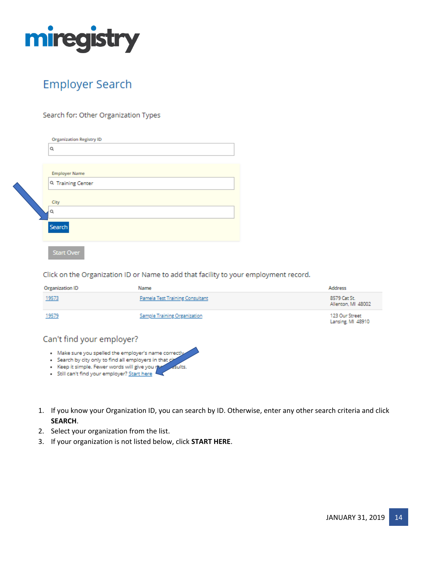

## **Employer Search**

#### Search for: Other Organization Types

| <b>Organization Registry ID</b><br>Q                                           |
|--------------------------------------------------------------------------------|
| <b>Employer Name</b><br>Q Training Center<br>City<br>Q<br>Search<br>Start Over |

Click on the Organization ID or Name to add that facility to your employment record.

| Organization ID | Name                            | Address                             |
|-----------------|---------------------------------|-------------------------------------|
| 19573           | Pamela Test Training Consultant | 8579 Cat St.<br>Allenton, MI 48002  |
| 19579           | Sample Training Organization    | 123 Our Street<br>Lansing, MI 48910 |

#### Can't find your employer?

- . Make sure you spelled the employer's name correctly
- · Search by city only to find all employers in that cit **Aults**
- · Keep it simple. Fewer words will give you no
- · Still can't find your employer? Start here
- 1. If you know your Organization ID, you can search by ID. Otherwise, enter any other search criteria and click **SEARCH**.
- 2. Select your organization from the list.
- 3. If your organization is not listed below, click **START HERE**.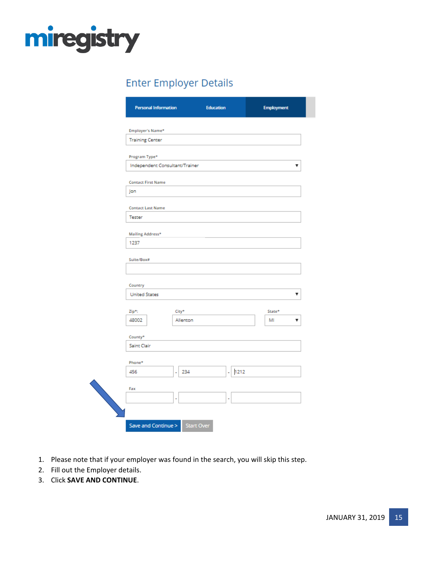

## **Enter Employer Details**

| Employer's Name*                   |           |            |        |
|------------------------------------|-----------|------------|--------|
| <b>Training Center</b>             |           |            |        |
| Program Type*                      |           |            |        |
| Independent Consultant/Trainer     |           |            |        |
| <b>Contact First Name</b>          |           |            |        |
| Jon                                |           |            |        |
|                                    |           |            |        |
| <b>Contact Last Name</b><br>Tester |           |            |        |
|                                    |           |            |        |
| Mailing Address*<br>1237           |           |            |        |
|                                    |           |            |        |
| Suite/Box#                         |           |            |        |
|                                    |           |            |        |
| Country<br><b>United States</b>    |           |            |        |
|                                    |           |            |        |
| Zip*:                              | City*     |            | State* |
| 48002                              | Allenton  |            | MI     |
| County*                            |           |            |        |
| Saint Clair                        |           |            |        |
| Phone*                             |           |            |        |
| 456                                | 234<br>ä, | 1212<br>ä, |        |
| Fax                                |           |            |        |
|                                    |           |            |        |

- 1. Please note that if your employer was found in the search, you will skip this step.
- 2. Fill out the Employer details.
- 3. Click **SAVE AND CONTINUE**.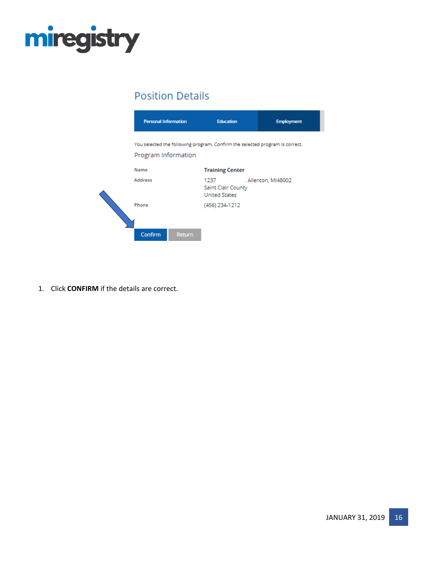



1. Click **CONFIRM** if the details are correct.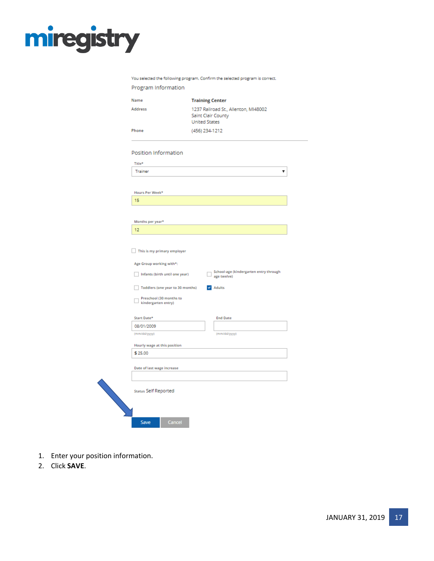You selected the following program. Confirm the selected program is correct.

| Program Information                            |                                            |                 |                                        |   |
|------------------------------------------------|--------------------------------------------|-----------------|----------------------------------------|---|
| Name                                           | <b>Training Center</b>                     |                 |                                        |   |
| Address                                        | Saint Clair County<br><b>United States</b> |                 | 1237 Railroad St., Allenton, MI48002   |   |
| Phone                                          | (456) 234-1212                             |                 |                                        |   |
|                                                |                                            |                 |                                        |   |
| Position Information                           |                                            |                 |                                        |   |
| Title*                                         |                                            |                 |                                        |   |
| Trainer                                        |                                            |                 |                                        | v |
|                                                |                                            |                 |                                        |   |
| Hours Per Week*<br>15                          |                                            |                 |                                        |   |
|                                                |                                            |                 |                                        |   |
|                                                |                                            |                 |                                        |   |
| Months per year*                               |                                            |                 |                                        |   |
| 12                                             |                                            |                 |                                        |   |
|                                                |                                            |                 |                                        |   |
| This is my primary employer                    |                                            |                 |                                        |   |
| Age Group working with*:                       |                                            |                 |                                        |   |
| Infants (birth until one year)                 |                                            | age twelve)     | School-age (kindergarten entry through |   |
| Toddlers (one year to 30 months)               |                                            | $\vee$ Adults   |                                        |   |
| Preschool (30 months to<br>kindergarten entry) |                                            |                 |                                        |   |
| Start Date*                                    |                                            | <b>End Date</b> |                                        |   |
| 08/01/2009                                     |                                            |                 |                                        |   |
| (mm/dd/yyyy)                                   |                                            | (mm/dd/yyyy)    |                                        |   |
| Hourly wage at this position                   |                                            |                 |                                        |   |
| \$25.00                                        |                                            |                 |                                        |   |
| Date of last wage increase                     |                                            |                 |                                        |   |
|                                                |                                            |                 |                                        |   |
| Status Self Reported                           |                                            |                 |                                        |   |
| Cancel<br>Save                                 |                                            |                 |                                        |   |

- 1. Enter your position information.
- 2. Click **SAVE**.